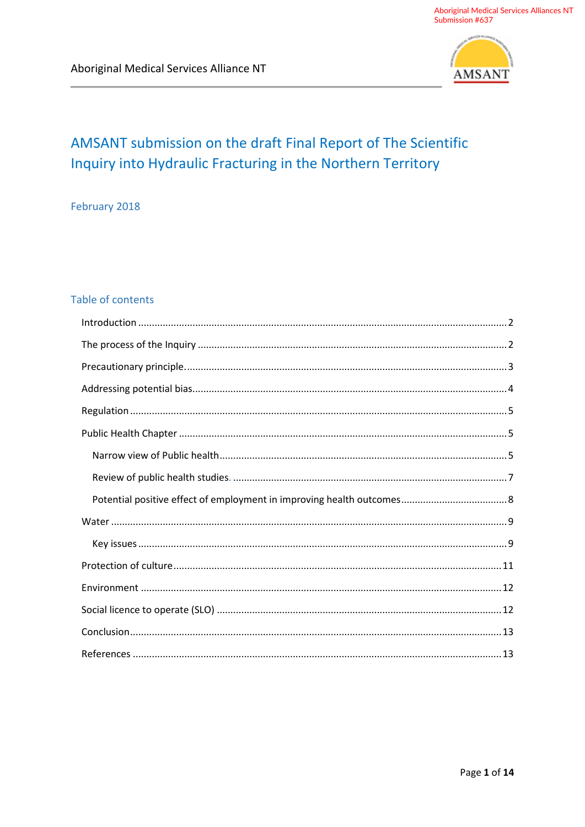

# AMSANT submission on the draft Final Report of The Scientific Inquiry into Hydraulic Fracturing in the Northern Territory

February 2018

# Table of contents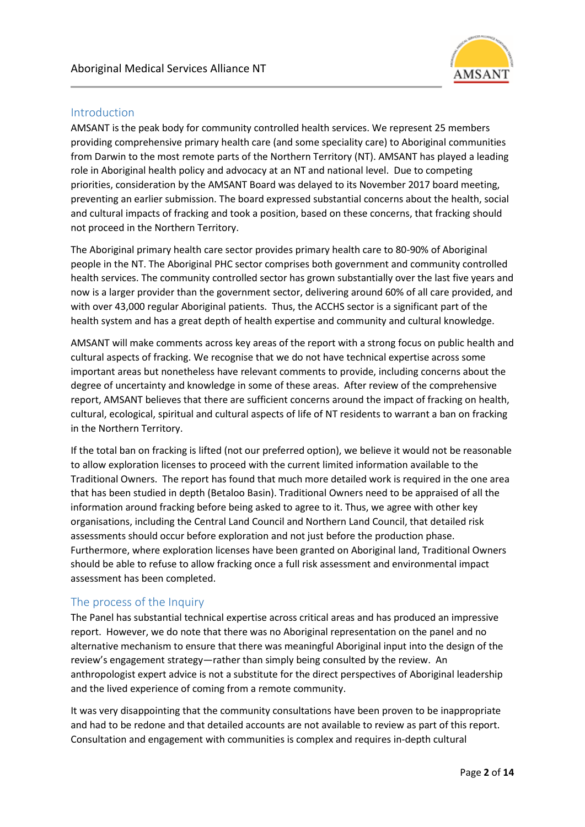

## **Introduction**

AMSANT is the peak body for community controlled health services. We represent 25 members providing comprehensive primary health care (and some speciality care) to Aboriginal communities from Darwin to the most remote parts of the Northern Territory (NT). AMSANT has played a leading role in Aboriginal health policy and advocacy at an NT and national level. Due to competing priorities, consideration by the AMSANT Board was delayed to its November 2017 board meeting, preventing an earlier submission. The board expressed substantial concerns about the health, social and cultural impacts of fracking and took a position, based on these concerns, that fracking should not proceed in the Northern Territory.

The Aboriginal primary health care sector provides primary health care to 80-90% of Aboriginal people in the NT. The Aboriginal PHC sector comprises both government and community controlled health services. The community controlled sector has grown substantially over the last five years and now is a larger provider than the government sector, delivering around 60% of all care provided, and with over 43,000 regular Aboriginal patients. Thus, the ACCHS sector is a significant part of the health system and has a great depth of health expertise and community and cultural knowledge.

AMSANT will make comments across key areas of the report with a strong focus on public health and cultural aspects of fracking. We recognise that we do not have technical expertise across some important areas but nonetheless have relevant comments to provide, including concerns about the degree of uncertainty and knowledge in some of these areas. After review of the comprehensive report, AMSANT believes that there are sufficient concerns around the impact of fracking on health, cultural, ecological, spiritual and cultural aspects of life of NT residents to warrant a ban on fracking in the Northern Territory.

If the total ban on fracking is lifted (not our preferred option), we believe it would not be reasonable to allow exploration licenses to proceed with the current limited information available to the Traditional Owners. The report has found that much more detailed work is required in the one area that has been studied in depth (Betaloo Basin). Traditional Owners need to be appraised of all the information around fracking before being asked to agree to it. Thus, we agree with other key organisations, including the Central Land Council and Northern Land Council, that detailed risk assessments should occur before exploration and not just before the production phase. Furthermore, where exploration licenses have been granted on Aboriginal land, Traditional Owners should be able to refuse to allow fracking once a full risk assessment and environmental impact assessment has been completed.

# The process of the Inquiry

The Panel has substantial technical expertise across critical areas and has produced an impressive report. However, we do note that there was no Aboriginal representation on the panel and no alternative mechanism to ensure that there was meaningful Aboriginal input into the design of the review's engagement strategy—rather than simply being consulted by the review. An anthropologist expert advice is not a substitute for the direct perspectives of Aboriginal leadership and the lived experience of coming from a remote community.

It was very disappointing that the community consultations have been proven to be inappropriate and had to be redone and that detailed accounts are not available to review as part of this report. Consultation and engagement with communities is complex and requires in-depth cultural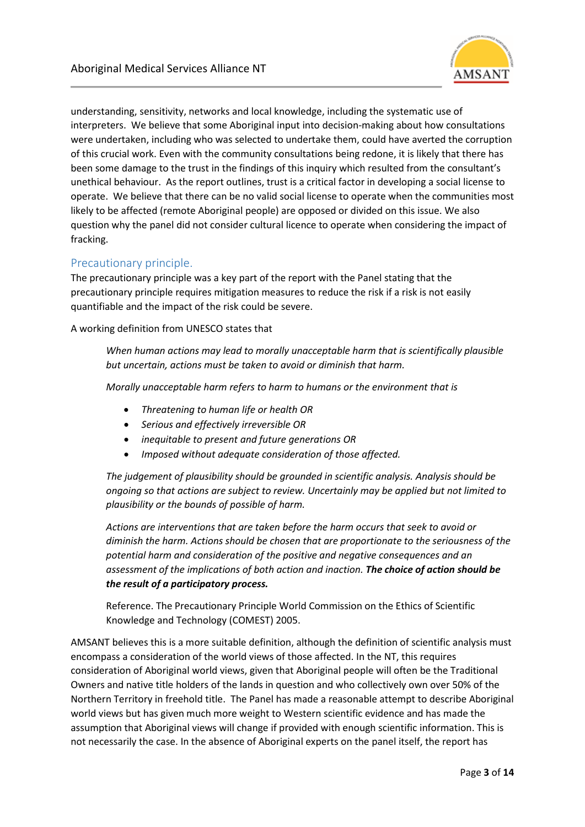

understanding, sensitivity, networks and local knowledge, including the systematic use of interpreters. We believe that some Aboriginal input into decision-making about how consultations were undertaken, including who was selected to undertake them, could have averted the corruption of this crucial work. Even with the community consultations being redone, it is likely that there has been some damage to the trust in the findings of this inquiry which resulted from the consultant's unethical behaviour. As the report outlines, trust is a critical factor in developing a social license to operate. We believe that there can be no valid social license to operate when the communities most likely to be affected (remote Aboriginal people) are opposed or divided on this issue. We also question why the panel did not consider cultural licence to operate when considering the impact of fracking.

## Precautionary principle.

The precautionary principle was a key part of the report with the Panel stating that the precautionary principle requires mitigation measures to reduce the risk if a risk is not easily quantifiable and the impact of the risk could be severe.

A working definition from UNESCO states that

*When human actions may lead to morally unacceptable harm that is scientifically plausible but uncertain, actions must be taken to avoid or diminish that harm.* 

*Morally unacceptable harm refers to harm to humans or the environment that is* 

- *Threatening to human life or health OR*
- *Serious and effectively irreversible OR*
- *inequitable to present and future generations OR*
- *Imposed without adequate consideration of those affected.*

*The judgement of plausibility should be grounded in scientific analysis. Analysis should be ongoing so that actions are subject to review. Uncertainly may be applied but not limited to plausibility or the bounds of possible of harm.*

*Actions are interventions that are taken before the harm occurs that seek to avoid or diminish the harm. Actions should be chosen that are proportionate to the seriousness of the potential harm and consideration of the positive and negative consequences and an assessment of the implications of both action and inaction. The choice of action should be the result of a participatory process.*

Reference. The Precautionary Principle World Commission on the Ethics of Scientific Knowledge and Technology (COMEST) 2005.

AMSANT believes this is a more suitable definition, although the definition of scientific analysis must encompass a consideration of the world views of those affected. In the NT, this requires consideration of Aboriginal world views, given that Aboriginal people will often be the Traditional Owners and native title holders of the lands in question and who collectively own over 50% of the Northern Territory in freehold title. The Panel has made a reasonable attempt to describe Aboriginal world views but has given much more weight to Western scientific evidence and has made the assumption that Aboriginal views will change if provided with enough scientific information. This is not necessarily the case. In the absence of Aboriginal experts on the panel itself, the report has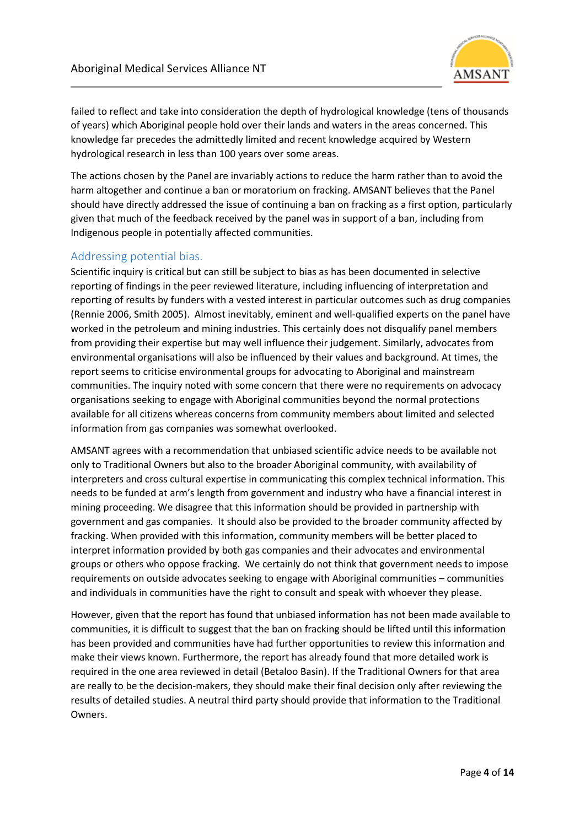

failed to reflect and take into consideration the depth of hydrological knowledge (tens of thousands of years) which Aboriginal people hold over their lands and waters in the areas concerned. This knowledge far precedes the admittedly limited and recent knowledge acquired by Western hydrological research in less than 100 years over some areas.

The actions chosen by the Panel are invariably actions to reduce the harm rather than to avoid the harm altogether and continue a ban or moratorium on fracking. AMSANT believes that the Panel should have directly addressed the issue of continuing a ban on fracking as a first option, particularly given that much of the feedback received by the panel was in support of a ban, including from Indigenous people in potentially affected communities.

#### Addressing potential bias.

Scientific inquiry is critical but can still be subject to bias as has been documented in selective reporting of findings in the peer reviewed literature, including influencing of interpretation and reporting of results by funders with a vested interest in particular outcomes such as drug companies (Rennie 2006, Smith 2005). Almost inevitably, eminent and well-qualified experts on the panel have worked in the petroleum and mining industries. This certainly does not disqualify panel members from providing their expertise but may well influence their judgement. Similarly, advocates from environmental organisations will also be influenced by their values and background. At times, the report seems to criticise environmental groups for advocating to Aboriginal and mainstream communities. The inquiry noted with some concern that there were no requirements on advocacy organisations seeking to engage with Aboriginal communities beyond the normal protections available for all citizens whereas concerns from community members about limited and selected information from gas companies was somewhat overlooked.

AMSANT agrees with a recommendation that unbiased scientific advice needs to be available not only to Traditional Owners but also to the broader Aboriginal community, with availability of interpreters and cross cultural expertise in communicating this complex technical information. This needs to be funded at arm's length from government and industry who have a financial interest in mining proceeding. We disagree that this information should be provided in partnership with government and gas companies. It should also be provided to the broader community affected by fracking. When provided with this information, community members will be better placed to interpret information provided by both gas companies and their advocates and environmental groups or others who oppose fracking. We certainly do not think that government needs to impose requirements on outside advocates seeking to engage with Aboriginal communities – communities and individuals in communities have the right to consult and speak with whoever they please.

However, given that the report has found that unbiased information has not been made available to communities, it is difficult to suggest that the ban on fracking should be lifted until this information has been provided and communities have had further opportunities to review this information and make their views known. Furthermore, the report has already found that more detailed work is required in the one area reviewed in detail (Betaloo Basin). If the Traditional Owners for that area are really to be the decision-makers, they should make their final decision only after reviewing the results of detailed studies. A neutral third party should provide that information to the Traditional Owners.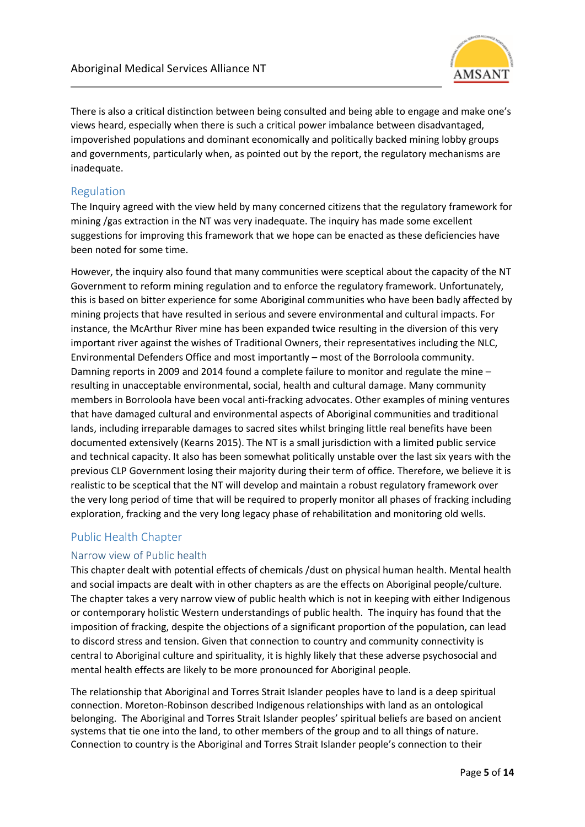

There is also a critical distinction between being consulted and being able to engage and make one's views heard, especially when there is such a critical power imbalance between disadvantaged, impoverished populations and dominant economically and politically backed mining lobby groups and governments, particularly when, as pointed out by the report, the regulatory mechanisms are inadequate.

## Regulation

The Inquiry agreed with the view held by many concerned citizens that the regulatory framework for mining /gas extraction in the NT was very inadequate. The inquiry has made some excellent suggestions for improving this framework that we hope can be enacted as these deficiencies have been noted for some time.

However, the inquiry also found that many communities were sceptical about the capacity of the NT Government to reform mining regulation and to enforce the regulatory framework. Unfortunately, this is based on bitter experience for some Aboriginal communities who have been badly affected by mining projects that have resulted in serious and severe environmental and cultural impacts. For instance, the McArthur River mine has been expanded twice resulting in the diversion of this very important river against the wishes of Traditional Owners, their representatives including the NLC, Environmental Defenders Office and most importantly – most of the Borroloola community. Damning reports in 2009 and 2014 found a complete failure to monitor and regulate the mine – resulting in unacceptable environmental, social, health and cultural damage. Many community members in Borroloola have been vocal anti-fracking advocates. Other examples of mining ventures that have damaged cultural and environmental aspects of Aboriginal communities and traditional lands, including irreparable damages to sacred sites whilst bringing little real benefits have been documented extensively (Kearns 2015). The NT is a small jurisdiction with a limited public service and technical capacity. It also has been somewhat politically unstable over the last six years with the previous CLP Government losing their majority during their term of office. Therefore, we believe it is realistic to be sceptical that the NT will develop and maintain a robust regulatory framework over the very long period of time that will be required to properly monitor all phases of fracking including exploration, fracking and the very long legacy phase of rehabilitation and monitoring old wells.

# Public Health Chapter

## Narrow view of Public health

This chapter dealt with potential effects of chemicals /dust on physical human health. Mental health and social impacts are dealt with in other chapters as are the effects on Aboriginal people/culture. The chapter takes a very narrow view of public health which is not in keeping with either Indigenous or contemporary holistic Western understandings of public health. The inquiry has found that the imposition of fracking, despite the objections of a significant proportion of the population, can lead to discord stress and tension. Given that connection to country and community connectivity is central to Aboriginal culture and spirituality, it is highly likely that these adverse psychosocial and mental health effects are likely to be more pronounced for Aboriginal people.

The relationship that Aboriginal and Torres Strait Islander peoples have to land is a deep spiritual connection. Moreton-Robinson described Indigenous relationships with land as an ontological belonging. The Aboriginal and Torres Strait Islander peoples' spiritual beliefs are based on ancient systems that tie one into the land, to other members of the group and to all things of nature. Connection to country is the Aboriginal and Torres Strait Islander people's connection to their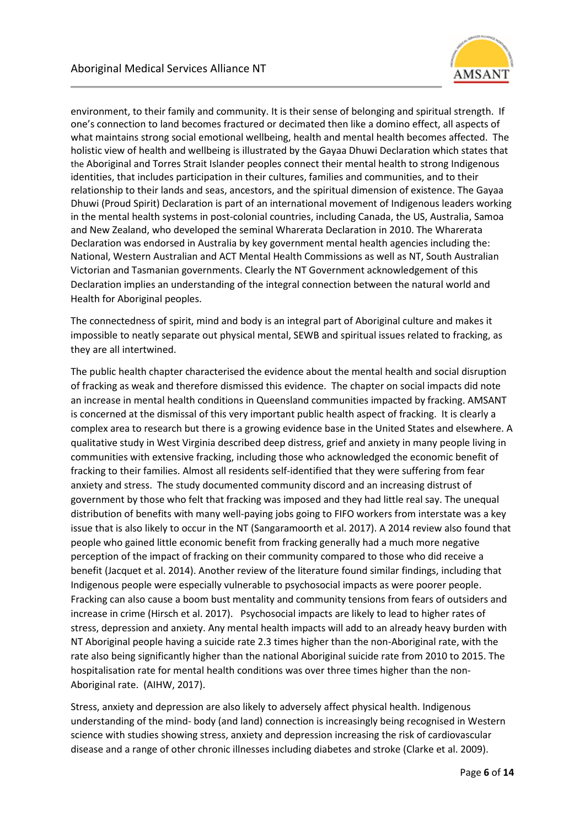

environment, to their family and community. It is their sense of belonging and spiritual strength. If one's connection to land becomes fractured or decimated then like a domino effect, all aspects of what maintains strong social emotional wellbeing, health and mental health becomes affected. The holistic view of health and wellbeing is illustrated by the Gayaa Dhuwi Declaration which states that the Aboriginal and Torres Strait Islander peoples connect their mental health to strong Indigenous identities, that includes participation in their cultures, families and communities, and to their relationship to their lands and seas, ancestors, and the spiritual dimension of existence. The Gayaa Dhuwi (Proud Spirit) Declaration is part of an international movement of Indigenous leaders working in the mental health systems in post-colonial countries, including Canada, the US, Australia, Samoa and New Zealand, who developed the seminal Wharerata Declaration in 2010. The Wharerata Declaration was endorsed in Australia by key government mental health agencies including the: National, Western Australian and ACT Mental Health Commissions as well as NT, South Australian Victorian and Tasmanian governments. Clearly the NT Government acknowledgement of this Declaration implies an understanding of the integral connection between the natural world and Health for Aboriginal peoples.

The connectedness of spirit, mind and body is an integral part of Aboriginal culture and makes it impossible to neatly separate out physical mental, SEWB and spiritual issues related to fracking, as they are all intertwined.

The public health chapter characterised the evidence about the mental health and social disruption of fracking as weak and therefore dismissed this evidence. The chapter on social impacts did note an increase in mental health conditions in Queensland communities impacted by fracking. AMSANT is concerned at the dismissal of this very important public health aspect of fracking. It is clearly a complex area to research but there is a growing evidence base in the United States and elsewhere. A qualitative study in West Virginia described deep distress, grief and anxiety in many people living in communities with extensive fracking, including those who acknowledged the economic benefit of fracking to their families. Almost all residents self-identified that they were suffering from fear anxiety and stress. The study documented community discord and an increasing distrust of government by those who felt that fracking was imposed and they had little real say. The unequal distribution of benefits with many well-paying jobs going to FIFO workers from interstate was a key issue that is also likely to occur in the NT (Sangaramoorth et al. 2017). A 2014 review also found that people who gained little economic benefit from fracking generally had a much more negative perception of the impact of fracking on their community compared to those who did receive a benefit (Jacquet et al. 2014). Another review of the literature found similar findings, including that Indigenous people were especially vulnerable to psychosocial impacts as were poorer people. Fracking can also cause a boom bust mentality and community tensions from fears of outsiders and increase in crime (Hirsch et al. 2017). Psychosocial impacts are likely to lead to higher rates of stress, depression and anxiety. Any mental health impacts will add to an already heavy burden with NT Aboriginal people having a suicide rate 2.3 times higher than the non-Aboriginal rate, with the rate also being significantly higher than the national Aboriginal suicide rate from 2010 to 2015. The hospitalisation rate for mental health conditions was over three times higher than the non-Aboriginal rate. (AIHW, 2017).

Stress, anxiety and depression are also likely to adversely affect physical health. Indigenous understanding of the mind- body (and land) connection is increasingly being recognised in Western science with studies showing stress, anxiety and depression increasing the risk of cardiovascular disease and a range of other chronic illnesses including diabetes and stroke (Clarke et al. 2009).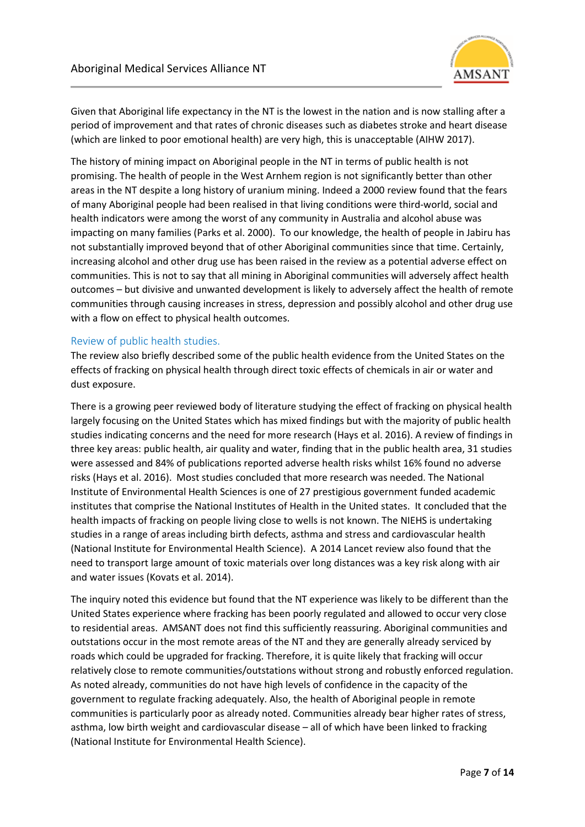

Given that Aboriginal life expectancy in the NT is the lowest in the nation and is now stalling after a period of improvement and that rates of chronic diseases such as diabetes stroke and heart disease (which are linked to poor emotional health) are very high, this is unacceptable (AIHW 2017).

The history of mining impact on Aboriginal people in the NT in terms of public health is not promising. The health of people in the West Arnhem region is not significantly better than other areas in the NT despite a long history of uranium mining. Indeed a 2000 review found that the fears of many Aboriginal people had been realised in that living conditions were third-world, social and health indicators were among the worst of any community in Australia and alcohol abuse was impacting on many families (Parks et al. 2000). To our knowledge, the health of people in Jabiru has not substantially improved beyond that of other Aboriginal communities since that time. Certainly, increasing alcohol and other drug use has been raised in the review as a potential adverse effect on communities. This is not to say that all mining in Aboriginal communities will adversely affect health outcomes – but divisive and unwanted development is likely to adversely affect the health of remote communities through causing increases in stress, depression and possibly alcohol and other drug use with a flow on effect to physical health outcomes.

#### Review of public health studies.

The review also briefly described some of the public health evidence from the United States on the effects of fracking on physical health through direct toxic effects of chemicals in air or water and dust exposure.

There is a growing peer reviewed body of literature studying the effect of fracking on physical health largely focusing on the United States which has mixed findings but with the majority of public health studies indicating concerns and the need for more research (Hays et al. 2016). A review of findings in three key areas: public health, air quality and water, finding that in the public health area, 31 studies were assessed and 84% of publications reported adverse health risks whilst 16% found no adverse risks (Hays et al. 2016). Most studies concluded that more research was needed. The National Institute of Environmental Health Sciences is one of 27 prestigious government funded academic institutes that comprise the National Institutes of Health in the United states. It concluded that the health impacts of fracking on people living close to wells is not known. The NIEHS is undertaking studies in a range of areas including birth defects, asthma and stress and cardiovascular health (National Institute for Environmental Health Science). A 2014 Lancet review also found that the need to transport large amount of toxic materials over long distances was a key risk along with air and water issues (Kovats et al. 2014).

The inquiry noted this evidence but found that the NT experience was likely to be different than the United States experience where fracking has been poorly regulated and allowed to occur very close to residential areas. AMSANT does not find this sufficiently reassuring. Aboriginal communities and outstations occur in the most remote areas of the NT and they are generally already serviced by roads which could be upgraded for fracking. Therefore, it is quite likely that fracking will occur relatively close to remote communities/outstations without strong and robustly enforced regulation. As noted already, communities do not have high levels of confidence in the capacity of the government to regulate fracking adequately. Also, the health of Aboriginal people in remote communities is particularly poor as already noted. Communities already bear higher rates of stress, asthma, low birth weight and cardiovascular disease – all of which have been linked to fracking (National Institute for Environmental Health Science).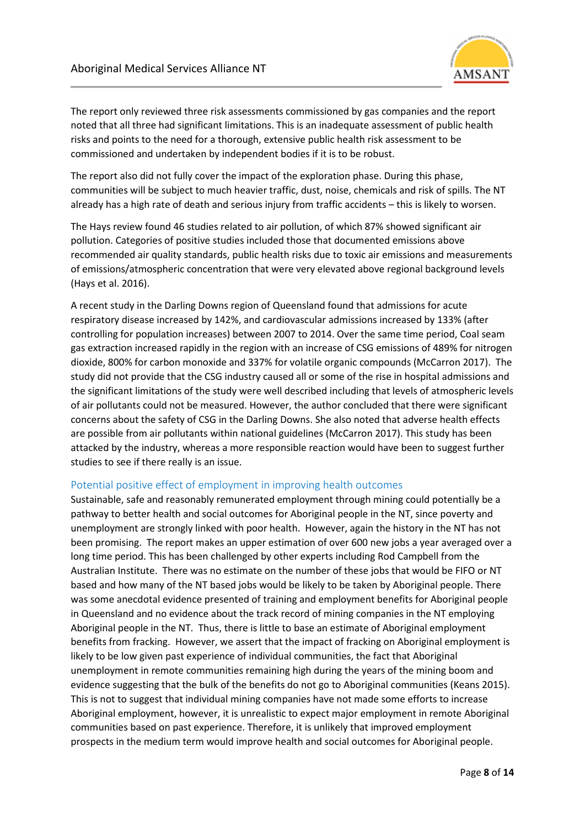

The report only reviewed three risk assessments commissioned by gas companies and the report noted that all three had significant limitations. This is an inadequate assessment of public health risks and points to the need for a thorough, extensive public health risk assessment to be commissioned and undertaken by independent bodies if it is to be robust.

The report also did not fully cover the impact of the exploration phase. During this phase, communities will be subject to much heavier traffic, dust, noise, chemicals and risk of spills. The NT already has a high rate of death and serious injury from traffic accidents – this is likely to worsen.

The Hays review found 46 studies related to air pollution, of which 87% showed significant air pollution. Categories of positive studies included those that documented emissions above recommended air quality standards, public health risks due to toxic air emissions and measurements of emissions/atmospheric concentration that were very elevated above regional background levels (Hays et al. 2016).

A recent study in the Darling Downs region of Queensland found that admissions for acute respiratory disease increased by 142%, and cardiovascular admissions increased by 133% (after controlling for population increases) between 2007 to 2014. Over the same time period, Coal seam gas extraction increased rapidly in the region with an increase of CSG emissions of 489% for nitrogen dioxide, 800% for carbon monoxide and 337% for volatile organic compounds (McCarron 2017). The study did not provide that the CSG industry caused all or some of the rise in hospital admissions and the significant limitations of the study were well described including that levels of atmospheric levels of air pollutants could not be measured. However, the author concluded that there were significant concerns about the safety of CSG in the Darling Downs. She also noted that adverse health effects are possible from air pollutants within national guidelines (McCarron 2017). This study has been attacked by the industry, whereas a more responsible reaction would have been to suggest further studies to see if there really is an issue.

#### Potential positive effect of employment in improving health outcomes

Sustainable, safe and reasonably remunerated employment through mining could potentially be a pathway to better health and social outcomes for Aboriginal people in the NT, since poverty and unemployment are strongly linked with poor health. However, again the history in the NT has not been promising. The report makes an upper estimation of over 600 new jobs a year averaged over a long time period. This has been challenged by other experts including Rod Campbell from the Australian Institute. There was no estimate on the number of these jobs that would be FIFO or NT based and how many of the NT based jobs would be likely to be taken by Aboriginal people. There was some anecdotal evidence presented of training and employment benefits for Aboriginal people in Queensland and no evidence about the track record of mining companies in the NT employing Aboriginal people in the NT. Thus, there is little to base an estimate of Aboriginal employment benefits from fracking. However, we assert that the impact of fracking on Aboriginal employment is likely to be low given past experience of individual communities, the fact that Aboriginal unemployment in remote communities remaining high during the years of the mining boom and evidence suggesting that the bulk of the benefits do not go to Aboriginal communities (Keans 2015). This is not to suggest that individual mining companies have not made some efforts to increase Aboriginal employment, however, it is unrealistic to expect major employment in remote Aboriginal communities based on past experience. Therefore, it is unlikely that improved employment prospects in the medium term would improve health and social outcomes for Aboriginal people.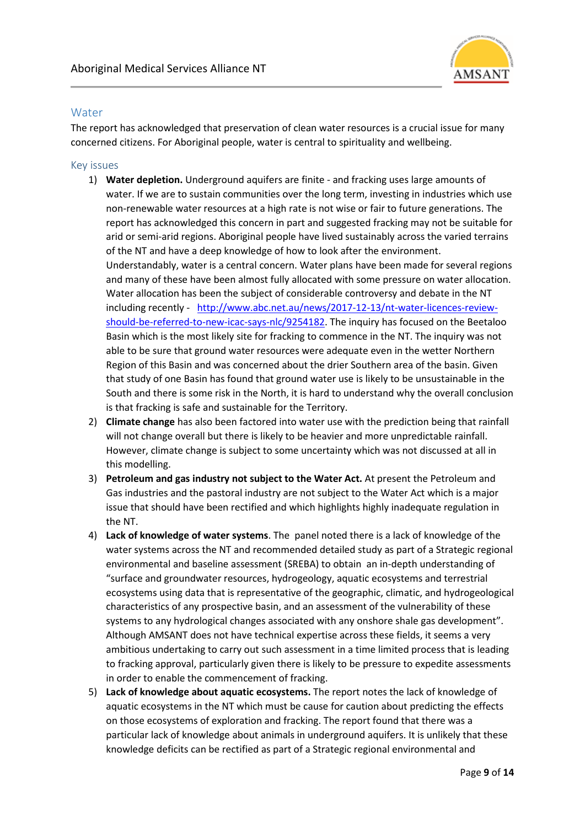

## **Water**

The report has acknowledged that preservation of clean water resources is a crucial issue for many concerned citizens. For Aboriginal people, water is central to spirituality and wellbeing.

#### Key issues

- 1) **Water depletion.** Underground aquifers are finite and fracking uses large amounts of water. If we are to sustain communities over the long term, investing in industries which use non-renewable water resources at a high rate is not wise or fair to future generations. The report has acknowledged this concern in part and suggested fracking may not be suitable for arid or semi-arid regions. Aboriginal people have lived sustainably across the varied terrains of the NT and have a deep knowledge of how to look after the environment. Understandably, water is a central concern. Water plans have been made for several regions and many of these have been almost fully allocated with some pressure on water allocation. Water allocation has been the subject of considerable controversy and debate in the NT including recently - [http://www.abc.net.au/news/2017-12-13/nt-water-licences-review](http://www.abc.net.au/news/2017-12-13/nt-water-licences-review-should-be-referred-to-new-icac-says-nlc/9254182)[should-be-referred-to-new-icac-says-nlc/9254182.](http://www.abc.net.au/news/2017-12-13/nt-water-licences-review-should-be-referred-to-new-icac-says-nlc/9254182) The inquiry has focused on the Beetaloo Basin which is the most likely site for fracking to commence in the NT. The inquiry was not able to be sure that ground water resources were adequate even in the wetter Northern Region of this Basin and was concerned about the drier Southern area of the basin. Given that study of one Basin has found that ground water use is likely to be unsustainable in the South and there is some risk in the North, it is hard to understand why the overall conclusion is that fracking is safe and sustainable for the Territory.
- 2) **Climate change** has also been factored into water use with the prediction being that rainfall will not change overall but there is likely to be heavier and more unpredictable rainfall. However, climate change is subject to some uncertainty which was not discussed at all in this modelling.
- 3) **Petroleum and gas industry not subject to the Water Act.** At present the Petroleum and Gas industries and the pastoral industry are not subject to the Water Act which is a major issue that should have been rectified and which highlights highly inadequate regulation in the NT.
- 4) **Lack of knowledge of water systems**. The panel noted there is a lack of knowledge of the water systems across the NT and recommended detailed study as part of a Strategic regional environmental and baseline assessment (SREBA) to obtain an in-depth understanding of "surface and groundwater resources, hydrogeology, aquatic ecosystems and terrestrial ecosystems using data that is representative of the geographic, climatic, and hydrogeological characteristics of any prospective basin, and an assessment of the vulnerability of these systems to any hydrological changes associated with any onshore shale gas development". Although AMSANT does not have technical expertise across these fields, it seems a very ambitious undertaking to carry out such assessment in a time limited process that is leading to fracking approval, particularly given there is likely to be pressure to expedite assessments in order to enable the commencement of fracking.
- 5) **Lack of knowledge about aquatic ecosystems.** The report notes the lack of knowledge of aquatic ecosystems in the NT which must be cause for caution about predicting the effects on those ecosystems of exploration and fracking. The report found that there was a particular lack of knowledge about animals in underground aquifers. It is unlikely that these knowledge deficits can be rectified as part of a Strategic regional environmental and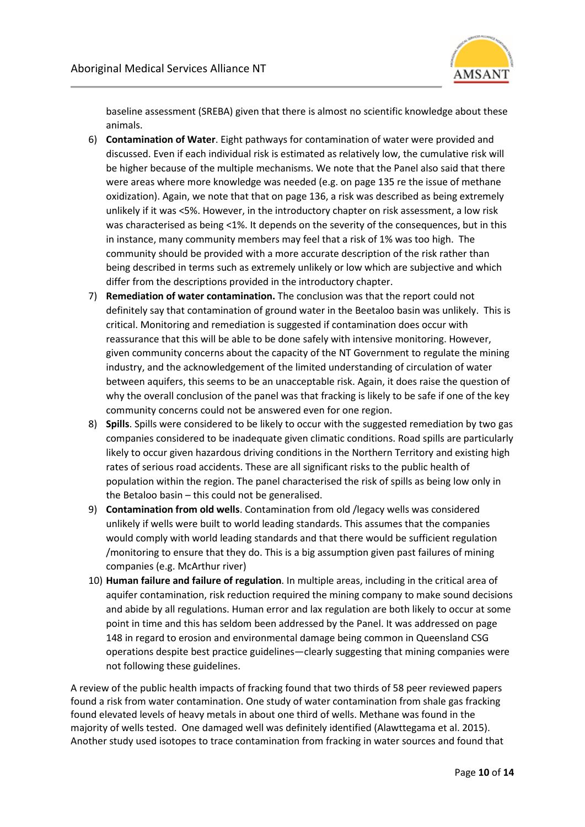

baseline assessment (SREBA) given that there is almost no scientific knowledge about these animals.

- 6) **Contamination of Water**. Eight pathways for contamination of water were provided and discussed. Even if each individual risk is estimated as relatively low, the cumulative risk will be higher because of the multiple mechanisms. We note that the Panel also said that there were areas where more knowledge was needed (e.g. on page 135 re the issue of methane oxidization). Again, we note that that on page 136, a risk was described as being extremely unlikely if it was <5%. However, in the introductory chapter on risk assessment, a low risk was characterised as being <1%. It depends on the severity of the consequences, but in this in instance, many community members may feel that a risk of 1% was too high. The community should be provided with a more accurate description of the risk rather than being described in terms such as extremely unlikely or low which are subjective and which differ from the descriptions provided in the introductory chapter.
- 7) **Remediation of water contamination.** The conclusion was that the report could not definitely say that contamination of ground water in the Beetaloo basin was unlikely. This is critical. Monitoring and remediation is suggested if contamination does occur with reassurance that this will be able to be done safely with intensive monitoring. However, given community concerns about the capacity of the NT Government to regulate the mining industry, and the acknowledgement of the limited understanding of circulation of water between aquifers, this seems to be an unacceptable risk. Again, it does raise the question of why the overall conclusion of the panel was that fracking is likely to be safe if one of the key community concerns could not be answered even for one region.
- 8) **Spills**. Spills were considered to be likely to occur with the suggested remediation by two gas companies considered to be inadequate given climatic conditions. Road spills are particularly likely to occur given hazardous driving conditions in the Northern Territory and existing high rates of serious road accidents. These are all significant risks to the public health of population within the region. The panel characterised the risk of spills as being low only in the Betaloo basin – this could not be generalised.
- 9) **Contamination from old wells**. Contamination from old /legacy wells was considered unlikely if wells were built to world leading standards. This assumes that the companies would comply with world leading standards and that there would be sufficient regulation /monitoring to ensure that they do. This is a big assumption given past failures of mining companies (e.g. McArthur river)
- 10) **Human failure and failure of regulation**. In multiple areas, including in the critical area of aquifer contamination, risk reduction required the mining company to make sound decisions and abide by all regulations. Human error and lax regulation are both likely to occur at some point in time and this has seldom been addressed by the Panel. It was addressed on page 148 in regard to erosion and environmental damage being common in Queensland CSG operations despite best practice guidelines—clearly suggesting that mining companies were not following these guidelines.

A review of the public health impacts of fracking found that two thirds of 58 peer reviewed papers found a risk from water contamination. One study of water contamination from shale gas fracking found elevated levels of heavy metals in about one third of wells. Methane was found in the majority of wells tested. One damaged well was definitely identified (Alawttegama et al. 2015). Another study used isotopes to trace contamination from fracking in water sources and found that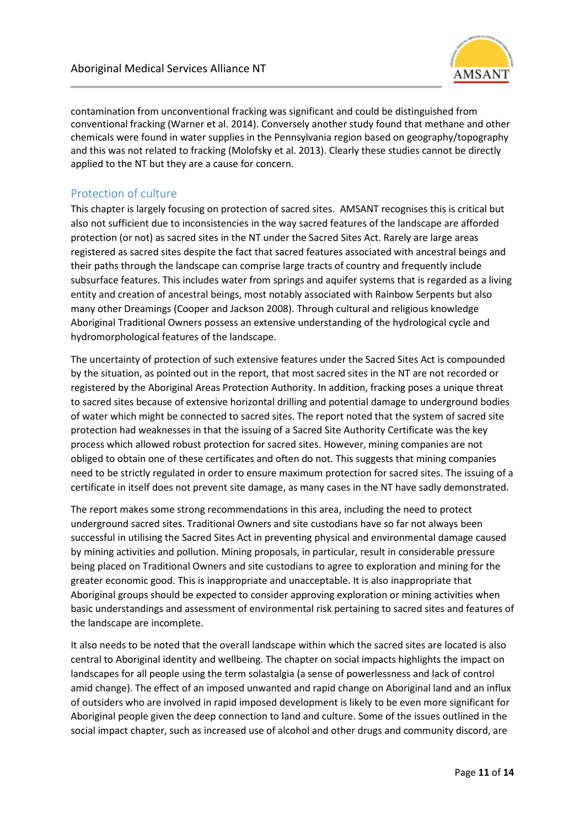

contamination from unconventional fracking was significant and could be distinguished from conventional fracking (Warner et al. 2014). Conversely another study found that methane and other chemicals were found in water supplies in the Pennsylvania region based on geography/topography and this was not related to fracking (Molofsky et al. 2013). Clearly these studies cannot be directly applied to the NT but they are a cause for concern.

## Protection of culture

This chapter is largely focusing on protection of sacred sites. AMSANT recognises this is critical but also not sufficient due to inconsistencies in the way sacred features of the landscape are afforded protection (or not) as sacred sites in the NT under the Sacred Sites Act. Rarely are large areas registered as sacred sites despite the fact that sacred features associated with ancestral beings and their paths through the landscape can comprise large tracts of country and frequently include subsurface features. This includes water from springs and aquifer systems that is regarded as a living entity and creation of ancestral beings, most notably associated with Rainbow Serpents but also many other Dreamings (Cooper and Jackson 2008). Through cultural and religious knowledge Aboriginal Traditional Owners possess an extensive understanding of the hydrological cycle and hydromorphological features of the landscape.

The uncertainty of protection of such extensive features under the Sacred Sites Act is compounded by the situation, as pointed out in the report, that most sacred sites in the NT are not recorded or registered by the Aboriginal Areas Protection Authority. In addition, fracking poses a unique threat to sacred sites because of extensive horizontal drilling and potential damage to underground bodies of water which might be connected to sacred sites. The report noted that the system of sacred site protection had weaknesses in that the issuing of a Sacred Site Authority Certificate was the key process which allowed robust protection for sacred sites. However, mining companies are not obliged to obtain one of these certificates and often do not. This suggests that mining companies need to be strictly regulated in order to ensure maximum protection for sacred sites. The issuing of a certificate in itself does not prevent site damage, as many cases in the NT have sadly demonstrated.

The report makes some strong recommendations in this area, including the need to protect underground sacred sites. Traditional Owners and site custodians have so far not always been successful in utilising the Sacred Sites Act in preventing physical and environmental damage caused by mining activities and pollution. Mining proposals, in particular, result in considerable pressure being placed on Traditional Owners and site custodians to agree to exploration and mining for the greater economic good. This is inappropriate and unacceptable. It is also inappropriate that Aboriginal groups should be expected to consider approving exploration or mining activities when basic understandings and assessment of environmental risk pertaining to sacred sites and features of the landscape are incomplete.

It also needs to be noted that the overall landscape within which the sacred sites are located is also central to Aboriginal identity and wellbeing. The chapter on social impacts highlights the impact on landscapes for all people using the term solastalgia (a sense of powerlessness and lack of control amid change). The effect of an imposed unwanted and rapid change on Aboriginal land and an influx of outsiders who are involved in rapid imposed development is likely to be even more significant for Aboriginal people given the deep connection to land and culture. Some of the issues outlined in the social impact chapter, such as increased use of alcohol and other drugs and community discord, are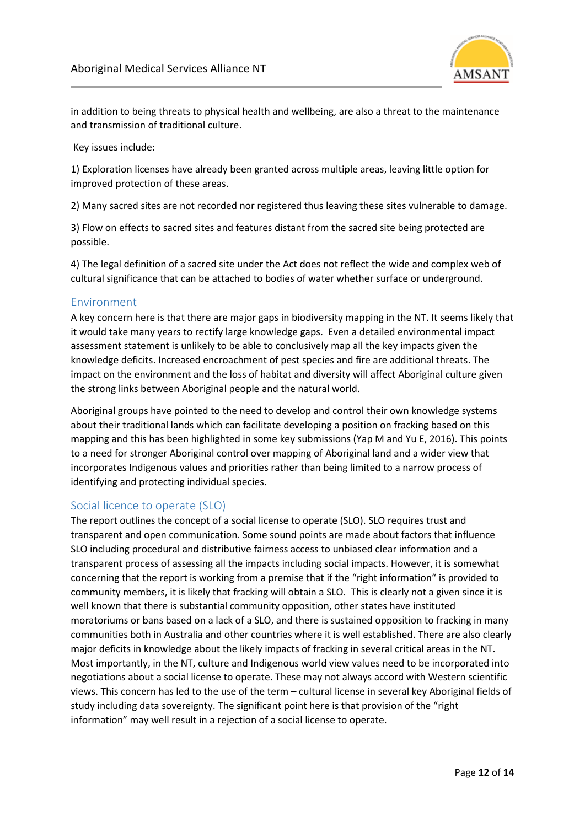

in addition to being threats to physical health and wellbeing, are also a threat to the maintenance and transmission of traditional culture.

Key issues include:

1) Exploration licenses have already been granted across multiple areas, leaving little option for improved protection of these areas.

2) Many sacred sites are not recorded nor registered thus leaving these sites vulnerable to damage.

3) Flow on effects to sacred sites and features distant from the sacred site being protected are possible.

4) The legal definition of a sacred site under the Act does not reflect the wide and complex web of cultural significance that can be attached to bodies of water whether surface or underground.

## Environment

A key concern here is that there are major gaps in biodiversity mapping in the NT. It seems likely that it would take many years to rectify large knowledge gaps. Even a detailed environmental impact assessment statement is unlikely to be able to conclusively map all the key impacts given the knowledge deficits. Increased encroachment of pest species and fire are additional threats. The impact on the environment and the loss of habitat and diversity will affect Aboriginal culture given the strong links between Aboriginal people and the natural world.

Aboriginal groups have pointed to the need to develop and control their own knowledge systems about their traditional lands which can facilitate developing a position on fracking based on this mapping and this has been highlighted in some key submissions (Yap M and Yu E, 2016). This points to a need for stronger Aboriginal control over mapping of Aboriginal land and a wider view that incorporates Indigenous values and priorities rather than being limited to a narrow process of identifying and protecting individual species.

## Social licence to operate (SLO)

The report outlines the concept of a social license to operate (SLO). SLO requires trust and transparent and open communication. Some sound points are made about factors that influence SLO including procedural and distributive fairness access to unbiased clear information and a transparent process of assessing all the impacts including social impacts. However, it is somewhat concerning that the report is working from a premise that if the "right information" is provided to community members, it is likely that fracking will obtain a SLO. This is clearly not a given since it is well known that there is substantial community opposition, other states have instituted moratoriums or bans based on a lack of a SLO, and there is sustained opposition to fracking in many communities both in Australia and other countries where it is well established. There are also clearly major deficits in knowledge about the likely impacts of fracking in several critical areas in the NT. Most importantly, in the NT, culture and Indigenous world view values need to be incorporated into negotiations about a social license to operate. These may not always accord with Western scientific views. This concern has led to the use of the term – cultural license in several key Aboriginal fields of study including data sovereignty. The significant point here is that provision of the "right information" may well result in a rejection of a social license to operate.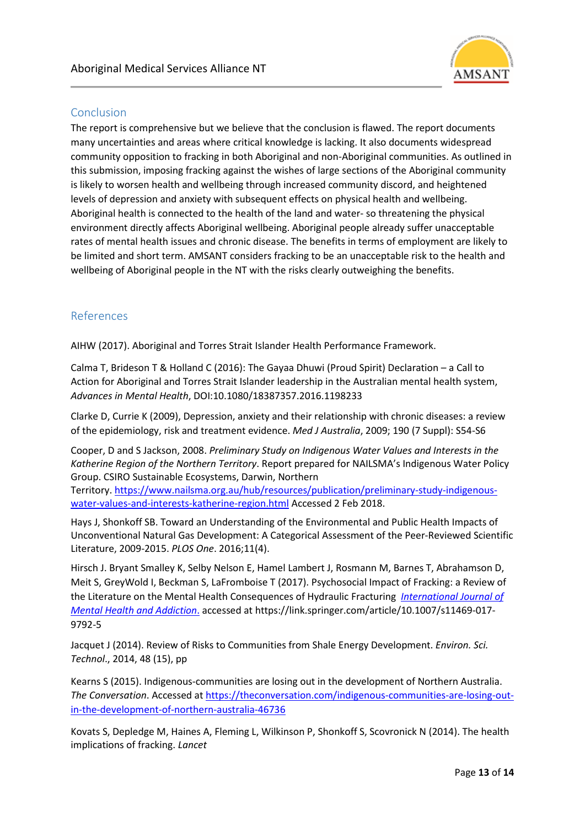

# Conclusion

The report is comprehensive but we believe that the conclusion is flawed. The report documents many uncertainties and areas where critical knowledge is lacking. It also documents widespread community opposition to fracking in both Aboriginal and non-Aboriginal communities. As outlined in this submission, imposing fracking against the wishes of large sections of the Aboriginal community is likely to worsen health and wellbeing through increased community discord, and heightened levels of depression and anxiety with subsequent effects on physical health and wellbeing. Aboriginal health is connected to the health of the land and water- so threatening the physical environment directly affects Aboriginal wellbeing. Aboriginal people already suffer unacceptable rates of mental health issues and chronic disease. The benefits in terms of employment are likely to be limited and short term. AMSANT considers fracking to be an unacceptable risk to the health and wellbeing of Aboriginal people in the NT with the risks clearly outweighing the benefits.

## References

AIHW (2017). Aboriginal and Torres Strait Islander Health Performance Framework.

Calma T, Brideson T & Holland C (2016): The Gayaa Dhuwi (Proud Spirit) Declaration – a Call to Action for Aboriginal and Torres Strait Islander leadership in the Australian mental health system, *Advances in Mental Health*, DOI:10.1080/18387357.2016.1198233

Clarke D, Currie K (2009), Depression, anxiety and their relationship with chronic diseases: a review of the epidemiology, risk and treatment evidence. *Med J Australia*, 2009; 190 (7 Suppl): S54-S6

Cooper, D and S Jackson, 2008. *Preliminary Study on Indigenous Water Values and Interests in the Katherine Region of the Northern Territory*. Report prepared for NAILSMA's Indigenous Water Policy Group. CSIRO Sustainable Ecosystems, Darwin, Northern

Territory[. https://www.nailsma.org.au/hub/resources/publication/preliminary-study-indigenous](https://www.nailsma.org.au/hub/resources/publication/preliminary-study-indigenous-water-values-and-interests-katherine-region.html)[water-values-and-interests-katherine-region.html](https://www.nailsma.org.au/hub/resources/publication/preliminary-study-indigenous-water-values-and-interests-katherine-region.html) Accessed 2 Feb 2018.

Hays J, Shonkoff SB. Toward an Understanding of the Environmental and Public Health Impacts of Unconventional Natural Gas Development: A Categorical Assessment of the Peer-Reviewed Scientific Literature, 2009-2015. *PLOS One*. 2016;11(4).

Hirsch J. Bryant Smalley K, Selby Nelson E, Hamel Lambert J, Rosmann M, Barnes T, Abrahamson D, Meit S, GreyWold I, Beckman S, LaFromboise T (2017). Psychosocial Impact of Fracking: a Review of the Literature on the Mental Health Consequences of Hydraulic Fracturing *[International Journal of](https://link.springer.com/journal/11469)  [Mental Health and Addiction](https://link.springer.com/journal/11469)*. accessed at https://link.springer.com/article/10.1007/s11469-017- 9792-5

Jacquet J (2014). Review of Risks to Communities from Shale Energy Development. *Environ. Sci. Technol*., 2014, 48 (15), pp

Kearns S (2015). Indigenous-communities are losing out in the development of Northern Australia. *The Conversation*. Accessed at [https://theconversation.com/indigenous-communities-are-losing-out](https://theconversation.com/indigenous-communities-are-losing-out-in-the-development-of-northern-australia-46736)[in-the-development-of-northern-australia-46736](https://theconversation.com/indigenous-communities-are-losing-out-in-the-development-of-northern-australia-46736)

Kovats S, Depledge M, Haines A, Fleming L, Wilkinson P, Shonkoff S, Scovronick N (2014). The health implications of fracking. *Lancet*